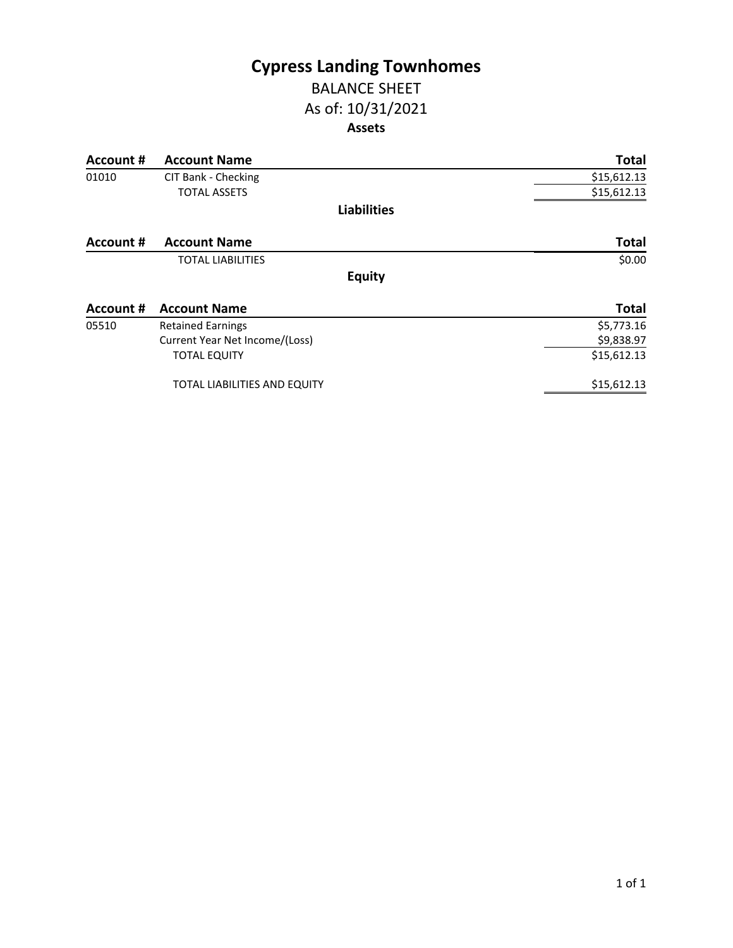# **Cypress Landing Townhomes**

### BALANCE SHEET As of: 10/31/2021 **Assets**

| Account # | <b>Account Name</b>            | <b>Total</b> |
|-----------|--------------------------------|--------------|
| 01010     | CIT Bank - Checking            | \$15,612.13  |
|           | <b>TOTAL ASSETS</b>            | \$15,612.13  |
|           | <b>Liabilities</b>             |              |
| Account # | <b>Account Name</b>            | <b>Total</b> |
|           | <b>TOTAL LIABILITIES</b>       | \$0.00       |
|           | <b>Equity</b>                  |              |
| Account # | <b>Account Name</b>            | <b>Total</b> |
| 05510     | <b>Retained Earnings</b>       | \$5,773.16   |
|           | Current Year Net Income/(Loss) | \$9,838.97   |
|           | <b>TOTAL EQUITY</b>            | \$15,612.13  |
|           | TOTAL LIABILITIES AND EQUITY   | \$15,612.13  |